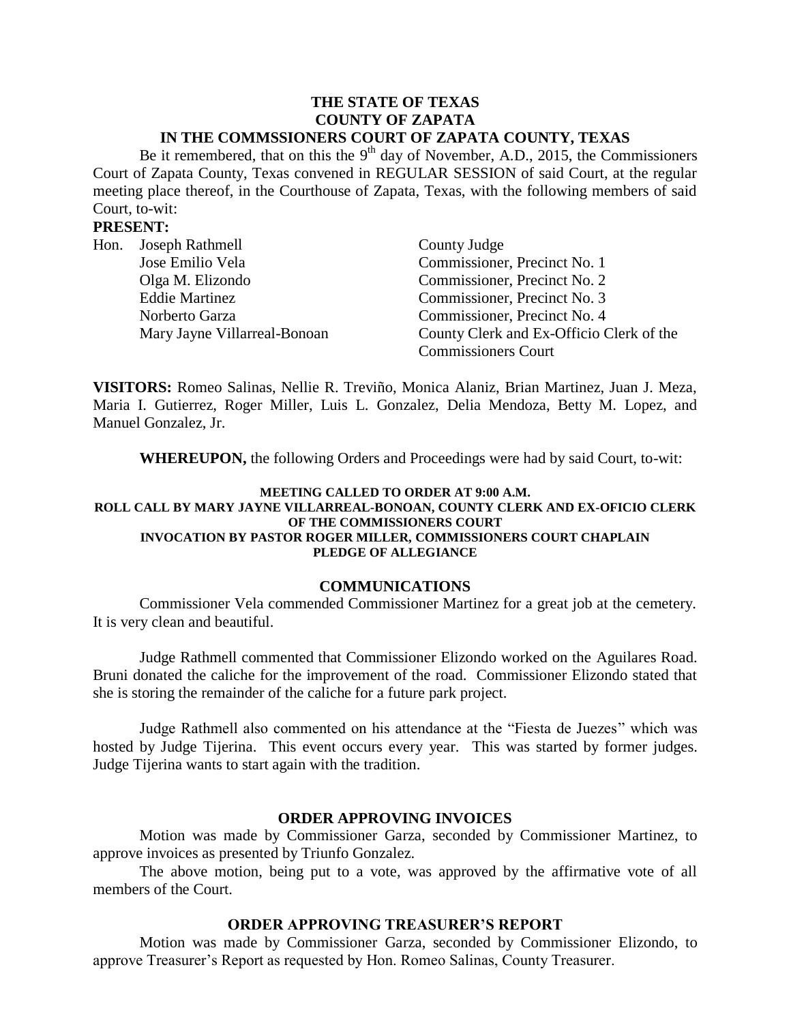#### **THE STATE OF TEXAS COUNTY OF ZAPATA IN THE COMMSSIONERS COURT OF ZAPATA COUNTY, TEXAS**

Be it remembered, that on this the  $9<sup>th</sup>$  day of November, A.D., 2015, the Commissioners Court of Zapata County, Texas convened in REGULAR SESSION of said Court, at the regular meeting place thereof, in the Courthouse of Zapata, Texas, with the following members of said Court, to-wit:

## **PRESENT:**

| Hon. | Joseph Rathmell              | County Judge                             |
|------|------------------------------|------------------------------------------|
|      | Jose Emilio Vela             | Commissioner, Precinct No. 1             |
|      | Olga M. Elizondo             | Commissioner, Precinct No. 2             |
|      | <b>Eddie Martinez</b>        | Commissioner, Precinct No. 3             |
|      | Norberto Garza               | Commissioner, Precinct No. 4             |
|      | Mary Jayne Villarreal-Bonoan | County Clerk and Ex-Officio Clerk of the |
|      |                              | <b>Commissioners Court</b>               |

**VISITORS:** Romeo Salinas, Nellie R. Treviño, Monica Alaniz, Brian Martinez, Juan J. Meza, Maria I. Gutierrez, Roger Miller, Luis L. Gonzalez, Delia Mendoza, Betty M. Lopez, and Manuel Gonzalez, Jr.

**WHEREUPON,** the following Orders and Proceedings were had by said Court, to-wit:

#### **MEETING CALLED TO ORDER AT 9:00 A.M. ROLL CALL BY MARY JAYNE VILLARREAL-BONOAN, COUNTY CLERK AND EX-OFICIO CLERK OF THE COMMISSIONERS COURT INVOCATION BY PASTOR ROGER MILLER, COMMISSIONERS COURT CHAPLAIN PLEDGE OF ALLEGIANCE**

#### **COMMUNICATIONS**

Commissioner Vela commended Commissioner Martinez for a great job at the cemetery. It is very clean and beautiful.

Judge Rathmell commented that Commissioner Elizondo worked on the Aguilares Road. Bruni donated the caliche for the improvement of the road. Commissioner Elizondo stated that she is storing the remainder of the caliche for a future park project.

Judge Rathmell also commented on his attendance at the "Fiesta de Juezes" which was hosted by Judge Tijerina. This event occurs every year. This was started by former judges. Judge Tijerina wants to start again with the tradition.

### **ORDER APPROVING INVOICES**

Motion was made by Commissioner Garza, seconded by Commissioner Martinez, to approve invoices as presented by Triunfo Gonzalez.

The above motion, being put to a vote, was approved by the affirmative vote of all members of the Court.

# **ORDER APPROVING TREASURER'S REPORT**

Motion was made by Commissioner Garza, seconded by Commissioner Elizondo, to approve Treasurer's Report as requested by Hon. Romeo Salinas, County Treasurer.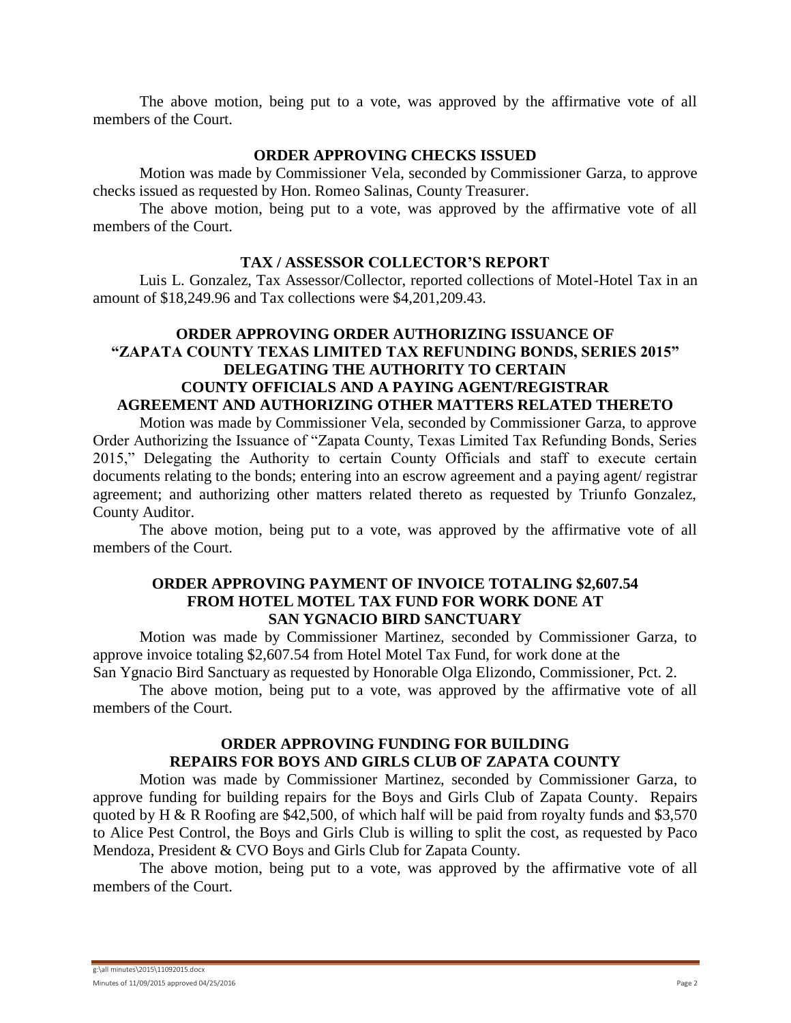The above motion, being put to a vote, was approved by the affirmative vote of all members of the Court.

#### **ORDER APPROVING CHECKS ISSUED**

Motion was made by Commissioner Vela, seconded by Commissioner Garza, to approve checks issued as requested by Hon. Romeo Salinas, County Treasurer.

The above motion, being put to a vote, was approved by the affirmative vote of all members of the Court.

## **TAX / ASSESSOR COLLECTOR'S REPORT**

Luis L. Gonzalez, Tax Assessor/Collector, reported collections of Motel-Hotel Tax in an amount of \$18,249.96 and Tax collections were \$4,201,209.43.

# **ORDER APPROVING ORDER AUTHORIZING ISSUANCE OF "ZAPATA COUNTY TEXAS LIMITED TAX REFUNDING BONDS, SERIES 2015" DELEGATING THE AUTHORITY TO CERTAIN COUNTY OFFICIALS AND A PAYING AGENT/REGISTRAR AGREEMENT AND AUTHORIZING OTHER MATTERS RELATED THERETO**

Motion was made by Commissioner Vela, seconded by Commissioner Garza, to approve Order Authorizing the Issuance of "Zapata County, Texas Limited Tax Refunding Bonds, Series 2015," Delegating the Authority to certain County Officials and staff to execute certain documents relating to the bonds; entering into an escrow agreement and a paying agent/ registrar agreement; and authorizing other matters related thereto as requested by Triunfo Gonzalez, County Auditor.

The above motion, being put to a vote, was approved by the affirmative vote of all members of the Court.

## **ORDER APPROVING PAYMENT OF INVOICE TOTALING \$2,607.54 FROM HOTEL MOTEL TAX FUND FOR WORK DONE AT SAN YGNACIO BIRD SANCTUARY**

Motion was made by Commissioner Martinez, seconded by Commissioner Garza, to approve invoice totaling \$2,607.54 from Hotel Motel Tax Fund, for work done at the San Ygnacio Bird Sanctuary as requested by Honorable Olga Elizondo, Commissioner, Pct. 2.

The above motion, being put to a vote, was approved by the affirmative vote of all members of the Court.

# **ORDER APPROVING FUNDING FOR BUILDING REPAIRS FOR BOYS AND GIRLS CLUB OF ZAPATA COUNTY**

Motion was made by Commissioner Martinez, seconded by Commissioner Garza, to approve funding for building repairs for the Boys and Girls Club of Zapata County. Repairs quoted by H & R Roofing are \$42,500, of which half will be paid from royalty funds and \$3,570 to Alice Pest Control, the Boys and Girls Club is willing to split the cost, as requested by Paco Mendoza, President & CVO Boys and Girls Club for Zapata County.

The above motion, being put to a vote, was approved by the affirmative vote of all members of the Court.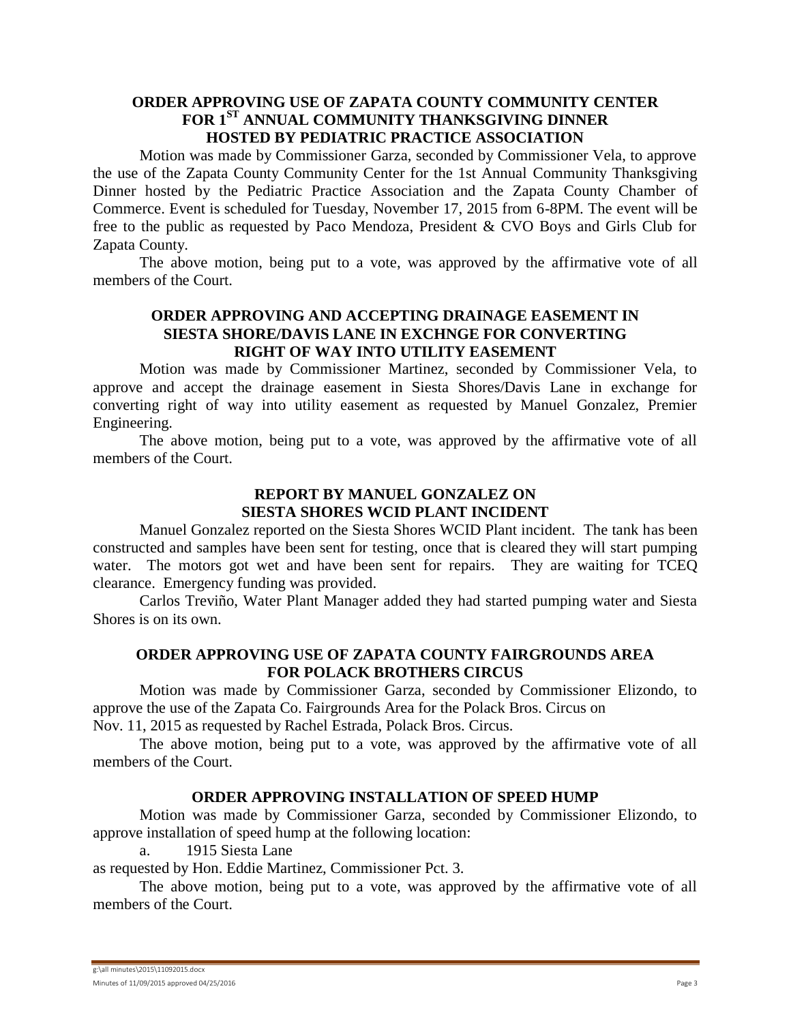## **ORDER APPROVING USE OF ZAPATA COUNTY COMMUNITY CENTER FOR 1ST ANNUAL COMMUNITY THANKSGIVING DINNER HOSTED BY PEDIATRIC PRACTICE ASSOCIATION**

Motion was made by Commissioner Garza, seconded by Commissioner Vela, to approve the use of the Zapata County Community Center for the 1st Annual Community Thanksgiving Dinner hosted by the Pediatric Practice Association and the Zapata County Chamber of Commerce. Event is scheduled for Tuesday, November 17, 2015 from 6-8PM. The event will be free to the public as requested by Paco Mendoza, President & CVO Boys and Girls Club for Zapata County.

The above motion, being put to a vote, was approved by the affirmative vote of all members of the Court.

# **ORDER APPROVING AND ACCEPTING DRAINAGE EASEMENT IN SIESTA SHORE/DAVIS LANE IN EXCHNGE FOR CONVERTING RIGHT OF WAY INTO UTILITY EASEMENT**

Motion was made by Commissioner Martinez, seconded by Commissioner Vela, to approve and accept the drainage easement in Siesta Shores/Davis Lane in exchange for converting right of way into utility easement as requested by Manuel Gonzalez, Premier Engineering.

The above motion, being put to a vote, was approved by the affirmative vote of all members of the Court.

# **REPORT BY MANUEL GONZALEZ ON SIESTA SHORES WCID PLANT INCIDENT**

Manuel Gonzalez reported on the Siesta Shores WCID Plant incident. The tank has been constructed and samples have been sent for testing, once that is cleared they will start pumping water. The motors got wet and have been sent for repairs. They are waiting for TCEQ clearance. Emergency funding was provided.

Carlos Treviño, Water Plant Manager added they had started pumping water and Siesta Shores is on its own.

# **ORDER APPROVING USE OF ZAPATA COUNTY FAIRGROUNDS AREA FOR POLACK BROTHERS CIRCUS**

Motion was made by Commissioner Garza, seconded by Commissioner Elizondo, to approve the use of the Zapata Co. Fairgrounds Area for the Polack Bros. Circus on

Nov. 11, 2015 as requested by Rachel Estrada, Polack Bros. Circus.

The above motion, being put to a vote, was approved by the affirmative vote of all members of the Court.

# **ORDER APPROVING INSTALLATION OF SPEED HUMP**

Motion was made by Commissioner Garza, seconded by Commissioner Elizondo, to approve installation of speed hump at the following location:

a. 1915 Siesta Lane

as requested by Hon. Eddie Martinez, Commissioner Pct. 3.

The above motion, being put to a vote, was approved by the affirmative vote of all members of the Court.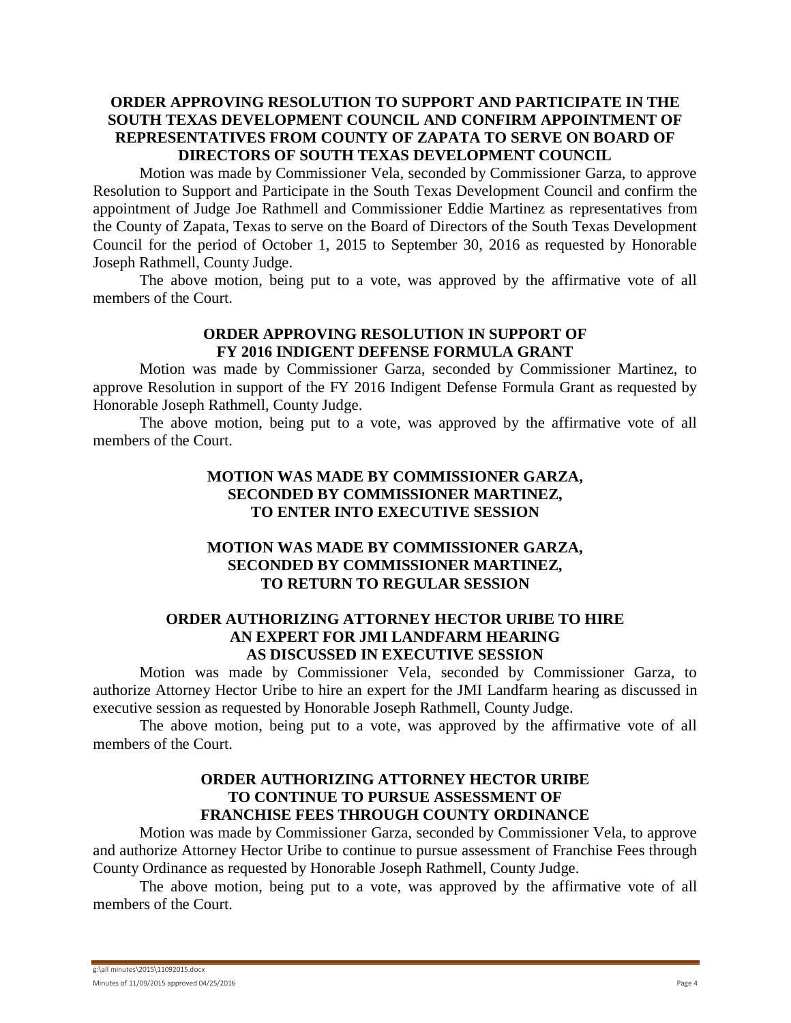# **ORDER APPROVING RESOLUTION TO SUPPORT AND PARTICIPATE IN THE SOUTH TEXAS DEVELOPMENT COUNCIL AND CONFIRM APPOINTMENT OF REPRESENTATIVES FROM COUNTY OF ZAPATA TO SERVE ON BOARD OF DIRECTORS OF SOUTH TEXAS DEVELOPMENT COUNCIL**

Motion was made by Commissioner Vela, seconded by Commissioner Garza, to approve Resolution to Support and Participate in the South Texas Development Council and confirm the appointment of Judge Joe Rathmell and Commissioner Eddie Martinez as representatives from the County of Zapata, Texas to serve on the Board of Directors of the South Texas Development Council for the period of October 1, 2015 to September 30, 2016 as requested by Honorable Joseph Rathmell, County Judge.

The above motion, being put to a vote, was approved by the affirmative vote of all members of the Court.

### **ORDER APPROVING RESOLUTION IN SUPPORT OF FY 2016 INDIGENT DEFENSE FORMULA GRANT**

Motion was made by Commissioner Garza, seconded by Commissioner Martinez, to approve Resolution in support of the FY 2016 Indigent Defense Formula Grant as requested by Honorable Joseph Rathmell, County Judge.

The above motion, being put to a vote, was approved by the affirmative vote of all members of the Court.

# **MOTION WAS MADE BY COMMISSIONER GARZA, SECONDED BY COMMISSIONER MARTINEZ, TO ENTER INTO EXECUTIVE SESSION**

# **MOTION WAS MADE BY COMMISSIONER GARZA, SECONDED BY COMMISSIONER MARTINEZ, TO RETURN TO REGULAR SESSION**

## **ORDER AUTHORIZING ATTORNEY HECTOR URIBE TO HIRE AN EXPERT FOR JMI LANDFARM HEARING AS DISCUSSED IN EXECUTIVE SESSION**

Motion was made by Commissioner Vela, seconded by Commissioner Garza, to authorize Attorney Hector Uribe to hire an expert for the JMI Landfarm hearing as discussed in executive session as requested by Honorable Joseph Rathmell, County Judge.

The above motion, being put to a vote, was approved by the affirmative vote of all members of the Court.

## **ORDER AUTHORIZING ATTORNEY HECTOR URIBE TO CONTINUE TO PURSUE ASSESSMENT OF FRANCHISE FEES THROUGH COUNTY ORDINANCE**

Motion was made by Commissioner Garza, seconded by Commissioner Vela, to approve and authorize Attorney Hector Uribe to continue to pursue assessment of Franchise Fees through County Ordinance as requested by Honorable Joseph Rathmell, County Judge.

The above motion, being put to a vote, was approved by the affirmative vote of all members of the Court.